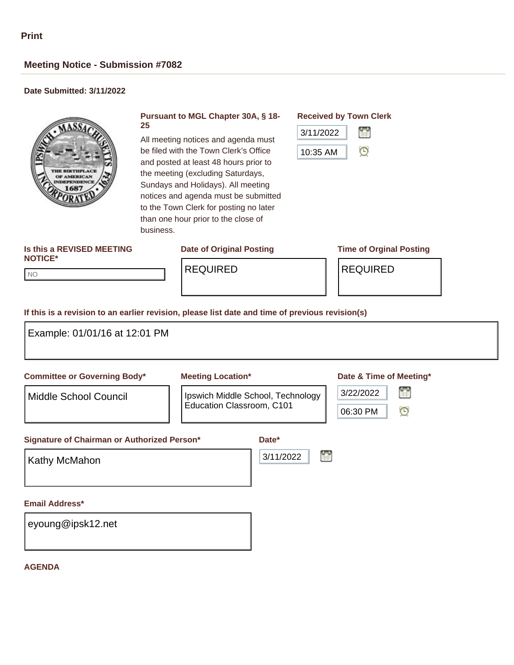## **Meeting Notice - Submission #7082**

### **Date Submitted: 3/11/2022**



### **Pursuant to MGL Chapter 30A, § 18- 25**

All meeting notices and agenda must be filed with the Town Clerk's Office and posted at least 48 hours prior to the meeting (excluding Saturdays, Sundays and Holidays). All meeting notices and agenda must be submitted to the Town Clerk for posting no later than one hour prior to the close of business.

### 羀 3/11/2022

**Received by Town Clerk**



### **Is this a REVISED MEETING NOTICE\***

### **Date of Original Posting Time of Orginal Posting**

NO NO

# REQUIRED REQUIRED

### **If this is a revision to an earlier revision, please list date and time of previous revision(s)**

| <b>Committee or Governing Body*</b>         |                                   | <b>Meeting Location*</b> |                |
|---------------------------------------------|-----------------------------------|--------------------------|----------------|
| Middle School Council                       | Ipswich Middle School, Technology |                          | 閨<br>3/22/2022 |
|                                             | Education Classroom, C101         |                          | 06:30 PM<br>Θ  |
| Signature of Chairman or Authorized Person* |                                   | Date*                    |                |
|                                             |                                   | Ľ<br>3/11/2022           |                |
| Kathy McMahon                               |                                   |                          |                |
| <b>Email Address*</b>                       |                                   |                          |                |

### **AGENDA**